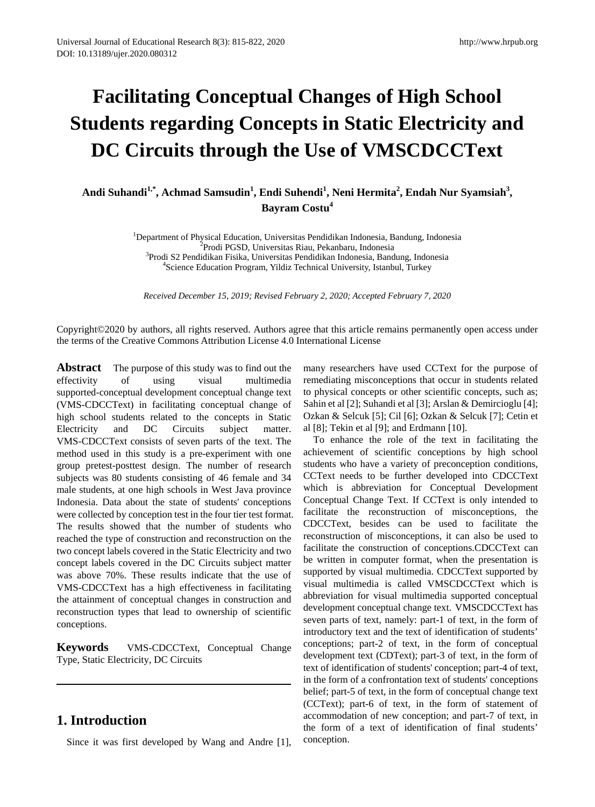# **Facilitating Conceptual Changes of High School Students regarding Concepts in Static Electricity and DC Circuits through the Use of VMSCDCCText**

Andi Suhandi<sup>1,\*</sup>, Achmad Samsudin<sup>1</sup>, Endi Suhendi<sup>1</sup>, Neni Hermita<sup>2</sup>, Endah Nur Syamsiah<sup>3</sup>, **Bayram Costu<sup>4</sup>**

> <sup>1</sup>Department of Physical Education, Universitas Pendidikan Indonesia, Bandung, Indonesia<br><sup>2</sup>Prodi PGSD, Universitas Riau, Pekanbaru, Indonesia Prodi PGSD, Universitas Riau, Pekanbaru, Indonesia<sup>3</sup><br><sup>3</sup>Prodi S2 Pendidikan Fisika Universitas Pendidikan Indonesia, Banc Prodi S2 Pendidikan Fisika, Universitas Pendidikan Indonesia, Bandung, Indonesia<br><sup>4</sup>Science Education Program, Vildiz Technical University, Istanbul, Turkey <sup>4</sup>Science Education Program, Yildiz Technical University, Istanbul, Turkey

*Received December 15, 2019; Revised February 2, 2020; Accepted February 7, 2020*

Copyright©2020 by authors, all rights reserved. Authors agree that this article remains permanently open access under the terms of the Creative Commons Attribution License 4.0 International License

**Abstract** The purpose of this study was to find out the effectivity of using visual multimedia supported-conceptual development conceptual change text (VMS-CDCCText) in facilitating conceptual change of high school students related to the concepts in Static Electricity and DC Circuits subject matter. VMS-CDCCText consists of seven parts of the text. The method used in this study is a pre-experiment with one group pretest-posttest design. The number of research subjects was 80 students consisting of 46 female and 34 male students, at one high schools in West Java province Indonesia. Data about the state of students' conceptions were collected by conception test in the four tier test format. The results showed that the number of students who reached the type of construction and reconstruction on the two concept labels covered in the Static Electricity and two concept labels covered in the DC Circuits subject matter was above 70%. These results indicate that the use of VMS-CDCCText has a high effectiveness in facilitating the attainment of conceptual changes in construction and reconstruction types that lead to ownership of scientific conceptions.

**Keywords** VMS-CDCCText, Conceptual Change Type, Static Electricity, DC Circuits

## **1. Introduction**

Since it was first developed by Wang and Andre [1],

many researchers have used CCText for the purpose of remediating misconceptions that occur in students related to physical concepts or other scientific concepts, such as; Sahin et al [2]; Suhandi et al [3]; Arslan & Demircioglu [4]; Ozkan & Selcuk [5]; Cil [6]; Ozkan & Selcuk [7]; Cetin et al [8]; Tekin et al [9]; and Erdmann [10].

To enhance the role of the text in facilitating the achievement of scientific conceptions by high school students who have a variety of preconception conditions, CCText needs to be further developed into CDCCText which is abbreviation for Conceptual Development Conceptual Change Text. If CCText is only intended to facilitate the reconstruction of misconceptions, the CDCCText, besides can be used to facilitate the reconstruction of misconceptions, it can also be used to facilitate the construction of conceptions.CDCCText can be written in computer format, when the presentation is supported by visual multimedia. CDCCText supported by visual multimedia is called VMSCDCCText which is abbreviation for visual multimedia supported conceptual development conceptual change text. VMSCDCCText has seven parts of text, namely: part-1 of text, in the form of introductory text and the text of identification of students' conceptions; part-2 of text, in the form of conceptual development text (CDText); part-3 of text, in the form of text of identification of students' conception; part-4 of text, in the form of a confrontation text of students' conceptions belief; part-5 of text, in the form of conceptual change text (CCText); part-6 of text, in the form of statement of accommodation of new conception; and part-7 of text, in the form of a text of identification of final students' conception.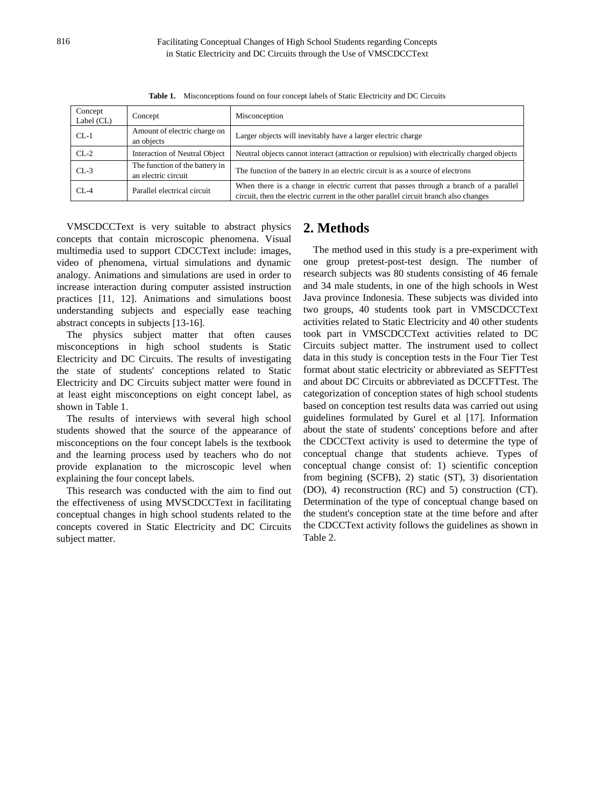| Concept<br>Label $(CL)$ | Concept                                               | Misconception                                                                                                                                                                 |  |
|-------------------------|-------------------------------------------------------|-------------------------------------------------------------------------------------------------------------------------------------------------------------------------------|--|
| $CL-1$                  | Amount of electric charge on<br>an objects            | Larger objects will inevitably have a larger electric charge                                                                                                                  |  |
| $CL-2$                  | Interaction of Neutral Object                         | Neutral objects cannot interact (attraction or repulsion) with electrically charged objects                                                                                   |  |
| $CL-3$                  | The function of the battery in<br>an electric circuit | The function of the battery in an electric circuit is as a source of electrons                                                                                                |  |
| $CL-4$                  | Parallel electrical circuit                           | When there is a change in electric current that passes through a branch of a parallel<br>circuit, then the electric current in the other parallel circuit branch also changes |  |

Table 1. Misconceptions found on four concept labels of Static Electricity and DC Circuits

VMSCDCCText is very suitable to abstract physics concepts that contain microscopic phenomena. Visual multimedia used to support CDCCText include: images, video of phenomena, virtual simulations and dynamic analogy. Animations and simulations are used in order to increase interaction during computer assisted instruction practices [11, 12]. Animations and simulations boost understanding subjects and especially ease teaching abstract concepts in subjects [13-16].

The physics subject matter that often causes misconceptions in high school students is Static Electricity and DC Circuits. The results of investigating the state of students' conceptions related to Static Electricity and DC Circuits subject matter were found in at least eight misconceptions on eight concept label, as shown in Table 1.

The results of interviews with several high school students showed that the source of the appearance of misconceptions on the four concept labels is the textbook and the learning process used by teachers who do not provide explanation to the microscopic level when explaining the four concept labels.

This research was conducted with the aim to find out the effectiveness of using MVSCDCCText in facilitating conceptual changes in high school students related to the concepts covered in Static Electricity and DC Circuits subject matter.

## **2. Methods**

The method used in this study is a pre-experiment with one group pretest-post-test design. The number of research subjects was 80 students consisting of 46 female and 34 male students, in one of the high schools in West Java province Indonesia. These subjects was divided into two groups, 40 students took part in VMSCDCCText activities related to Static Electricity and 40 other students took part in VMSCDCCText activities related to DC Circuits subject matter. The instrument used to collect data in this study is conception tests in the Four Tier Test format about static electricity or abbreviated as SEFTTest and about DC Circuits or abbreviated as DCCFTTest. The categorization of conception states of high school students based on conception test results data was carried out using guidelines formulated by Gurel et al [17]. Information about the state of students' conceptions before and after the CDCCText activity is used to determine the type of conceptual change that students achieve. Types of conceptual change consist of: 1) scientific conception from begining (SCFB), 2) static (ST), 3) disorientation (DO), 4) reconstruction (RC) and 5) construction (CT). Determination of the type of conceptual change based on the student's conception state at the time before and after the CDCCText activity follows the guidelines as shown in Table 2.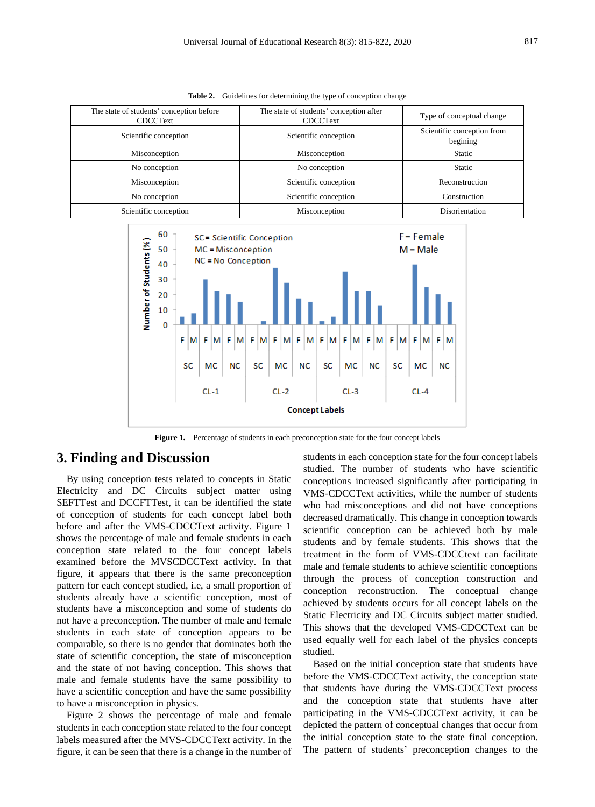| The state of students' conception before<br><b>CDCCText</b> | The state of students' conception after<br><b>CDCCText</b> | Type of conceptual change              |
|-------------------------------------------------------------|------------------------------------------------------------|----------------------------------------|
| Scientific conception                                       | Scientific conception                                      | Scientific conception from<br>begining |
| Misconception                                               | Misconception                                              | <b>Static</b>                          |
| No conception                                               | No conception                                              | <b>Static</b>                          |
| Misconception                                               | Scientific conception                                      | Reconstruction                         |
| No conception                                               | Scientific conception                                      | Construction                           |
| Scientific conception                                       | Misconception                                              | Disorientation                         |

Table 2. Guidelines for determining the type of conception change



Figure 1. Percentage of students in each preconception state for the four concept labels

### **3. Finding and Discussion**

By using conception tests related to concepts in Static Electricity and DC Circuits subject matter using SEFTTest and DCCFTTest, it can be identified the state of conception of students for each concept label both before and after the VMS-CDCCText activity. Figure 1 shows the percentage of male and female students in each conception state related to the four concept labels examined before the MVSCDCCText activity. In that figure, it appears that there is the same preconception pattern for each concept studied, i.e, a small proportion of students already have a scientific conception, most of students have a misconception and some of students do not have a preconception. The number of male and female students in each state of conception appears to be comparable, so there is no gender that dominates both the state of scientific conception, the state of misconception and the state of not having conception. This shows that male and female students have the same possibility to have a scientific conception and have the same possibility to have a misconception in physics.

Figure 2 shows the percentage of male and female students in each conception state related to the four concept labels measured after the MVS-CDCCText activity. In the figure, it can be seen that there is a change in the number of students in each conception state for the four concept labels studied. The number of students who have scientific conceptions increased significantly after participating in VMS-CDCCText activities, while the number of students who had misconceptions and did not have conceptions decreased dramatically. This change in conception towards scientific conception can be achieved both by male students and by female students. This shows that the treatment in the form of VMS-CDCCtext can facilitate male and female students to achieve scientific conceptions through the process of conception construction and conception reconstruction. The conceptual change achieved by students occurs for all concept labels on the Static Electricity and DC Circuits subject matter studied. This shows that the developed VMS-CDCCText can be used equally well for each label of the physics concepts studied.

Based on the initial conception state that students have before the VMS-CDCCText activity, the conception state that students have during the VMS-CDCCText process and the conception state that students have after participating in the VMS-CDCCText activity, it can be depicted the pattern of conceptual changes that occur from the initial conception state to the state final conception. The pattern of students' preconception changes to the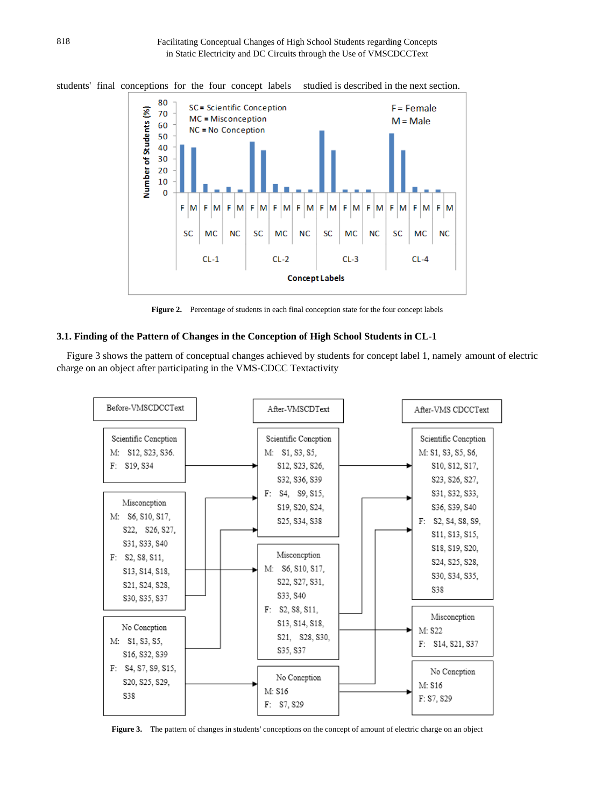

students' final conceptions for the four concept labels studied is described in the next section.

Figure 2. Percentage of students in each final conception state for the four concept labels

#### **3.1. Finding of the Pattern of Changes in the Conception of High School Students in CL-1**

Figure 3 shows the pattern of conceptual changes achieved by students for concept label 1, namely amount of electric charge on an object after participating in the VMS-CDCC Textactivity



**Figure 3.** The pattern of changes in students' conceptions on the concept of amount of electric charge on an object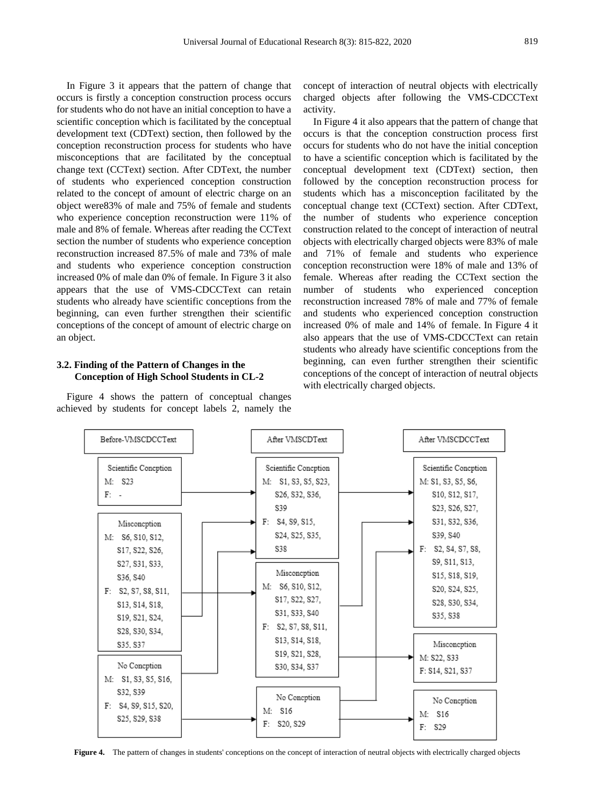In Figure 3 it appears that the pattern of change that occurs is firstly a conception construction process occurs for students who do not have an initial conception to have a scientific conception which is facilitated by the conceptual development text (CDText) section, then followed by the conception reconstruction process for students who have misconceptions that are facilitated by the conceptual change text (CCText) section. After CDText, the number of students who experienced conception construction related to the concept of amount of electric charge on an object were83% of male and 75% of female and students who experience conception reconstruction were 11% of male and 8% of female. Whereas after reading the CCText section the number of students who experience conception reconstruction increased 87.5% of male and 73% of male and students who experience conception construction increased 0% of male dan 0% of female. In Figure 3 it also appears that the use of VMS-CDCCText can retain students who already have scientific conceptions from the beginning, can even further strengthen their scientific conceptions of the concept of amount of electric charge on an object.

#### **3.2. Finding of the Pattern of Changes in the Conception of High School Students in CL-2**

Figure 4 shows the pattern of conceptual changes achieved by students for concept labels 2, namely the

concept of interaction of neutral objects with electrically charged objects after following the VMS-CDCCText activity.

In Figure 4 it also appears that the pattern of change that occurs is that the conception construction process first occurs for students who do not have the initial conception to have a scientific conception which is facilitated by the conceptual development text (CDText) section, then followed by the conception reconstruction process for students which has a misconception facilitated by the conceptual change text (CCText) section. After CDText, the number of students who experience conception construction related to the concept of interaction of neutral objects with electrically charged objects were 83% of male and 71% of female and students who experience conception reconstruction were 18% of male and 13% of female. Whereas after reading the CCText section the number of students who experienced conception reconstruction increased 78% of male and 77% of female and students who experienced conception construction increased 0% of male and 14% of female. In Figure 4 it also appears that the use of VMS-CDCCText can retain students who already have scientific conceptions from the beginning, can even further strengthen their scientific conceptions of the concept of interaction of neutral objects with electrically charged objects.



**Figure 4.** The pattern of changes in students' conceptions on the concept of interaction of neutral objects with electrically charged objects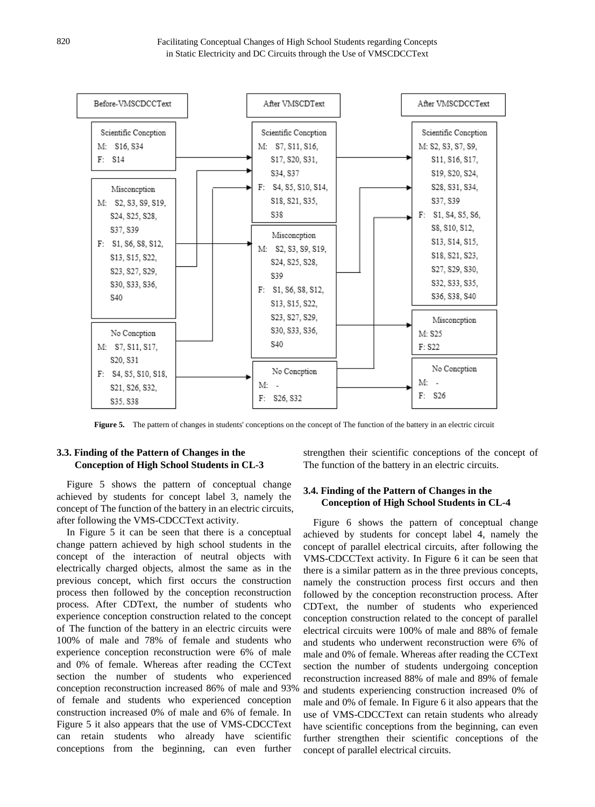

**Figure 5.** The pattern of changes in students' conceptions on the concept of The function of the battery in an electric circuit

#### **3.3. Finding of the Pattern of Changes in the Conception of High School Students in CL-3**

Figure 5 shows the pattern of conceptual change achieved by students for concept label 3, namely the concept of The function of the battery in an electric circuits, after following the VMS-CDCCText activity.

In Figure 5 it can be seen that there is a conceptual change pattern achieved by high school students in the concept of the interaction of neutral objects with electrically charged objects, almost the same as in the previous concept, which first occurs the construction process then followed by the conception reconstruction process. After CDText, the number of students who experience conception construction related to the concept of The function of the battery in an electric circuits were 100% of male and 78% of female and students who experience conception reconstruction were 6% of male and 0% of female. Whereas after reading the CCText section the number of students who experienced conception reconstruction increased 86% of male and 93% of female and students who experienced conception construction increased 0% of male and 6% of female. In Figure 5 it also appears that the use of VMS-CDCCText can retain students who already have scientific conceptions from the beginning, can even further

strengthen their scientific conceptions of the concept of The function of the battery in an electric circuits.

#### **3.4. Finding of the Pattern of Changes in the Conception of High School Students in CL-4**

Figure 6 shows the pattern of conceptual change achieved by students for concept label 4, namely the concept of parallel electrical circuits, after following the VMS-CDCCText activity. In Figure 6 it can be seen that there is a similar pattern as in the three previous concepts, namely the construction process first occurs and then followed by the conception reconstruction process. After CDText, the number of students who experienced conception construction related to the concept of parallel electrical circuits were 100% of male and 88% of female and students who underwent reconstruction were 6% of male and 0% of female. Whereas after reading the CCText section the number of students undergoing conception reconstruction increased 88% of male and 89% of female and students experiencing construction increased 0% of male and 0% of female. In Figure 6 it also appears that the use of VMS-CDCCText can retain students who already have scientific conceptions from the beginning, can even further strengthen their scientific conceptions of the concept of parallel electrical circuits.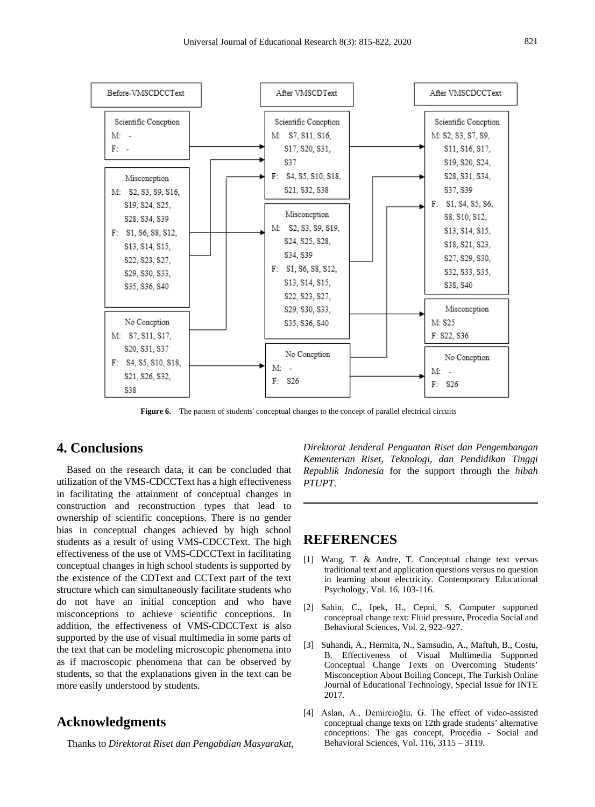

Figure 6. The pattern of students' conceptual changes to the concept of parallel electrical circuits

## **4. Conclusions**

Based on the research data, it can be concluded that utilization of the VMS-CDCCText has a high effectiveness in facilitating the attainment of conceptual changes in construction and reconstruction types that lead to ownership of scientific conceptions. There is no gender bias in conceptual changes achieved by high school students as a result of using VMS-CDCCText. The high effectiveness of the use of VMS-CDCCText in facilitating conceptual changes in high school students is supported by the existence of the CDText and CCText part of the text structure which can simultaneously facilitate students who do not have an initial conception and who have misconceptions to achieve scientific conceptions. In addition, the effectiveness of VMS-CDCCText is also supported by the use of visual multimedia in some parts of the text that can be modeling microscopic phenomena into as if macroscopic phenomena that can be observed by students, so that the explanations given in the text can be more easily understood by students.

## **Acknowledgments**

Thanks to *Direktorat Riset dan Pengabdian Masyarakat,*

*Direktorat Jenderal Penguatan Riset dan Pengembangan Kementerian Riset, Teknologi, dan Pendidikan Tinggi Republik Indonesia* for the support through the *hibah PTUPT*.

#### **REFERENCES**

- [1] Wang, T. & Andre, T. Conceptual change text versus traditional text and application questions versus no question in learning about electricity. Contemporary Educational Psychology, Vol. 16, 103-116.
- [2] Sahin, C., Ipek, H., Cepni, S. Computer supported conceptual change text: Fluid pressure, Procedia Social and Behavioral Sciences, Vol. 2, 922–927.
- [3] Suhandi, A., Hermita, N., Samsudin, A., Maftuh, B., Costu, B. Effectiveness of Visual Multimedia Supported Conceptual Change Texts on Overcoming Students' Misconception About Boiling Concept, The Turkish Online Journal of Educational Technology, Special Issue for INTE 2017.
- [4] Aslan, A., Demircioğlu, G. The effect of video-assisted conceptual change texts on 12th grade students' alternative conceptions: The gas concept, Procedia - Social and Behavioral Sciences, Vol. 116, 3115 – 3119.